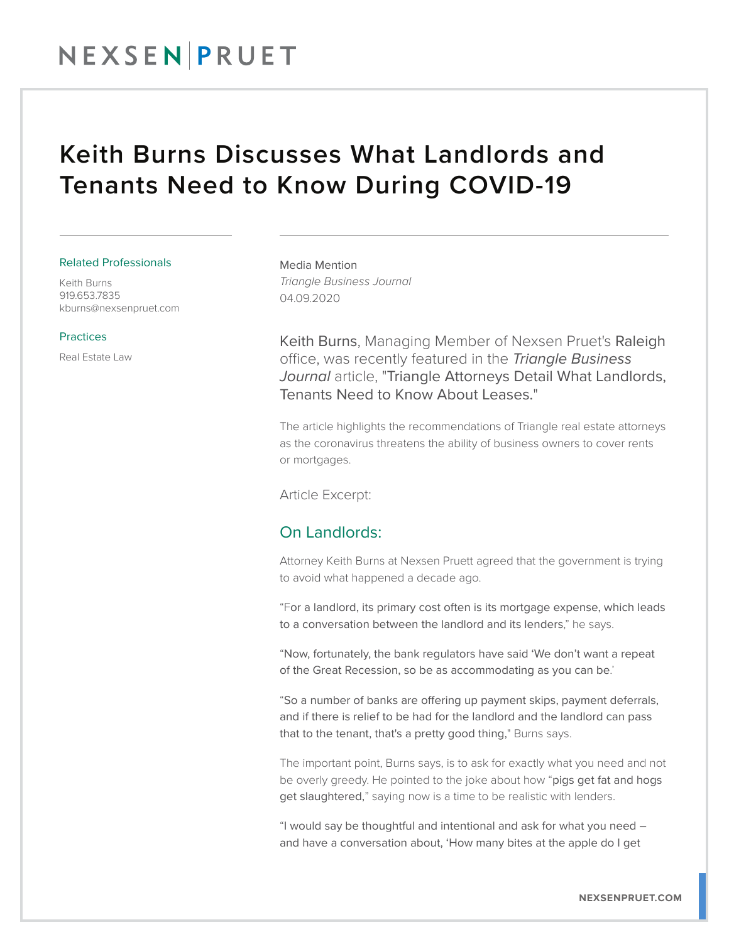## NEXSEN PRUET

## Keith Burns Discusses What Landlords and Tenants Need to Know During COVID-19

#### Related Professionals

Keith Burns 919.653.7835 kburns@nexsenpruet.com

#### Practices

Real Estate Law

Media Mention *Triangle Business Journal* 04.09.2020

Keith Burns, Managing Member of Nexsen Pruet's Raleigh office, was recently featured in the *Triangle Business Journal* article, "Triangle Attorneys Detail What Landlords, Tenants Need to Know About Leases."

The article highlights the recommendations of Triangle real estate attorneys as the coronavirus threatens the ability of business owners to cover rents or mortgages.

Article Excerpt:

### On Landlords:

Attorney Keith Burns at Nexsen Pruett agreed that the government is trying to avoid what happened a decade ago.

"For a landlord, its primary cost often is its mortgage expense, which leads to a conversation between the landlord and its lenders," he says.

"Now, fortunately, the bank regulators have said 'We don't want a repeat of the Great Recession, so be as accommodating as you can be.'

"So a number of banks are offering up payment skips, payment deferrals, and if there is relief to be had for the landlord and the landlord can pass that to the tenant, that's a pretty good thing," Burns says.

The important point, Burns says, is to ask for exactly what you need and not be overly greedy. He pointed to the joke about how "pigs get fat and hogs get slaughtered," saying now is a time to be realistic with lenders.

"I would say be thoughtful and intentional and ask for what you need – and have a conversation about, 'How many bites at the apple do I get